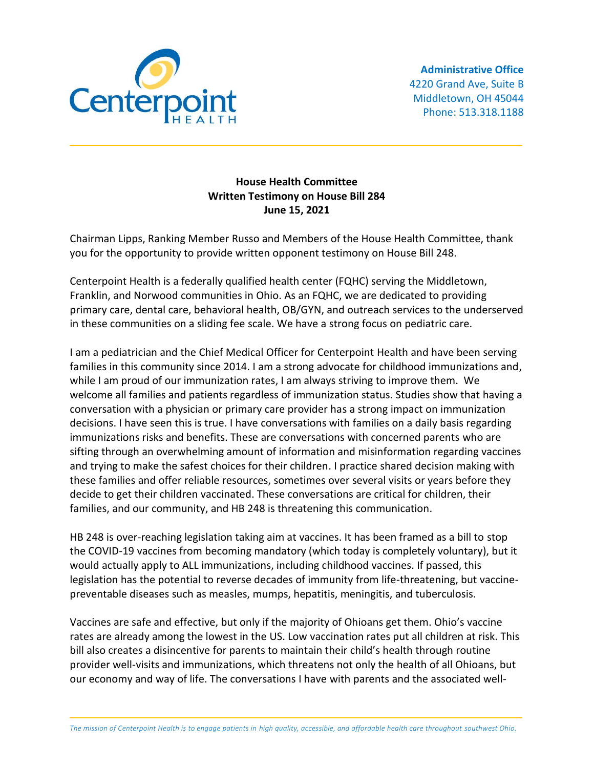

## **House Health Committee Written Testimony on House Bill 284 June 15, 2021**

Chairman Lipps, Ranking Member Russo and Members of the House Health Committee, thank you for the opportunity to provide written opponent testimony on House Bill 248.

Centerpoint Health is a federally qualified health center (FQHC) serving the Middletown, Franklin, and Norwood communities in Ohio. As an FQHC, we are dedicated to providing primary care, dental care, behavioral health, OB/GYN, and outreach services to the underserved in these communities on a sliding fee scale. We have a strong focus on pediatric care.

I am a pediatrician and the Chief Medical Officer for Centerpoint Health and have been serving families in this community since 2014. I am a strong advocate for childhood immunizations and, while I am proud of our immunization rates, I am always striving to improve them. We welcome all families and patients regardless of immunization status. Studies show that having a conversation with a physician or primary care provider has a strong impact on immunization decisions. I have seen this is true. I have conversations with families on a daily basis regarding immunizations risks and benefits. These are conversations with concerned parents who are sifting through an overwhelming amount of information and misinformation regarding vaccines and trying to make the safest choices for their children. I practice shared decision making with these families and offer reliable resources, sometimes over several visits or years before they decide to get their children vaccinated. These conversations are critical for children, their families, and our community, and HB 248 is threatening this communication.

HB 248 is over-reaching legislation taking aim at vaccines. It has been framed as a bill to stop the COVID-19 vaccines from becoming mandatory (which today is completely voluntary), but it would actually apply to ALL immunizations, including childhood vaccines. If passed, this legislation has the potential to reverse decades of immunity from life-threatening, but vaccinepreventable diseases such as measles, mumps, hepatitis, meningitis, and tuberculosis.

Vaccines are safe and effective, but only if the majority of Ohioans get them. Ohio's vaccine rates are already among the lowest in the US. Low vaccination rates put all children at risk. This bill also creates a disincentive for parents to maintain their child's health through routine provider well-visits and immunizations, which threatens not only the health of all Ohioans, but our economy and way of life. The conversations I have with parents and the associated well-